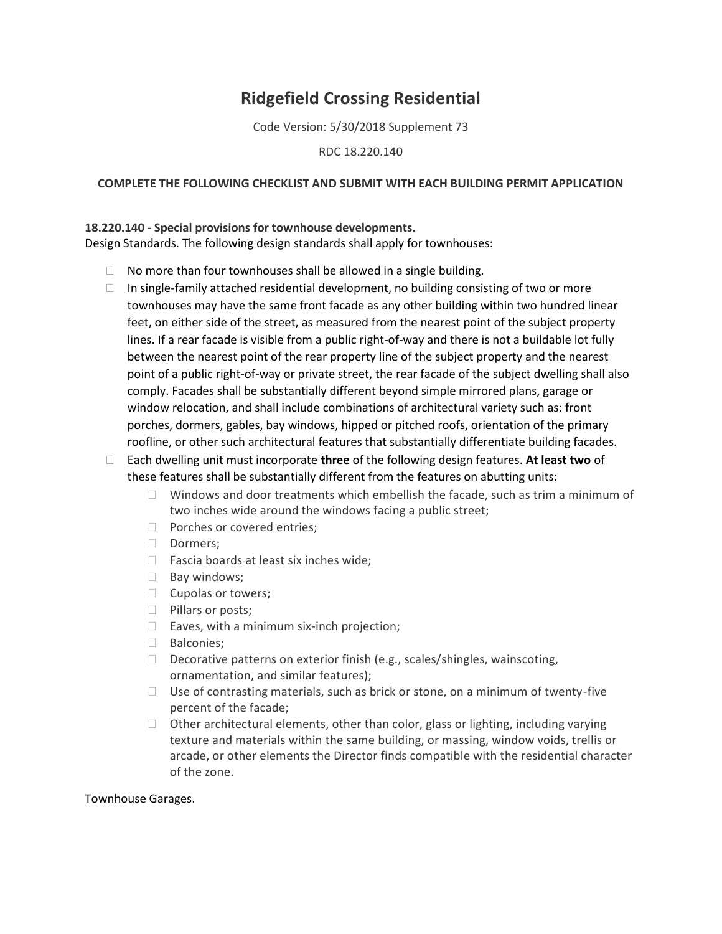## **Ridgefield Crossing Residential**

Code Version: 5/30/2018 Supplement 73

RDC 18.220.140

## **COMPLETE THE FOLLOWING CHECKLIST AND SUBMIT WITH EACH BUILDING PERMIT APPLICATION**

## **18.220.140 - Special provisions for townhouse developments.**

Design Standards. The following design standards shall apply for townhouses:

- $\Box$  No more than four townhouses shall be allowed in a single building.
- $\Box$  In single-family attached residential development, no building consisting of two or more townhouses may have the same front facade as any other building within two hundred linear feet, on either side of the street, as measured from the nearest point of the subject property lines. If a rear facade is visible from a public right-of-way and there is not a buildable lot fully between the nearest point of the rear property line of the subject property and the nearest point of a public right-of-way or private street, the rear facade of the subject dwelling shall also comply. Facades shall be substantially different beyond simple mirrored plans, garage or window relocation, and shall include combinations of architectural variety such as: front porches, dormers, gables, bay windows, hipped or pitched roofs, orientation of the primary roofline, or other such architectural features that substantially differentiate building facades.
- Each dwelling unit must incorporate **three** of the following design features. **At least two** of these features shall be substantially different from the features on abutting units:
	- $\Box$  Windows and door treatments which embellish the facade, such as trim a minimum of two inches wide around the windows facing a public street;
	- D Porches or covered entries;
	- Dormers;
	- $\Box$  Fascia boards at least six inches wide;
	- $\Box$  Bay windows;
	- $\Box$  Cupolas or towers;
	- **Pillars or posts;**
	- $\Box$  Eaves, with a minimum six-inch projection;
	- □ Balconies;
	- $\Box$  Decorative patterns on exterior finish (e.g., scales/shingles, wainscoting, ornamentation, and similar features);
	- $\Box$  Use of contrasting materials, such as brick or stone, on a minimum of twenty-five percent of the facade;
	- $\Box$  Other architectural elements, other than color, glass or lighting, including varying texture and materials within the same building, or massing, window voids, trellis or arcade, or other elements the Director finds compatible with the residential character of the zone.

Townhouse Garages.